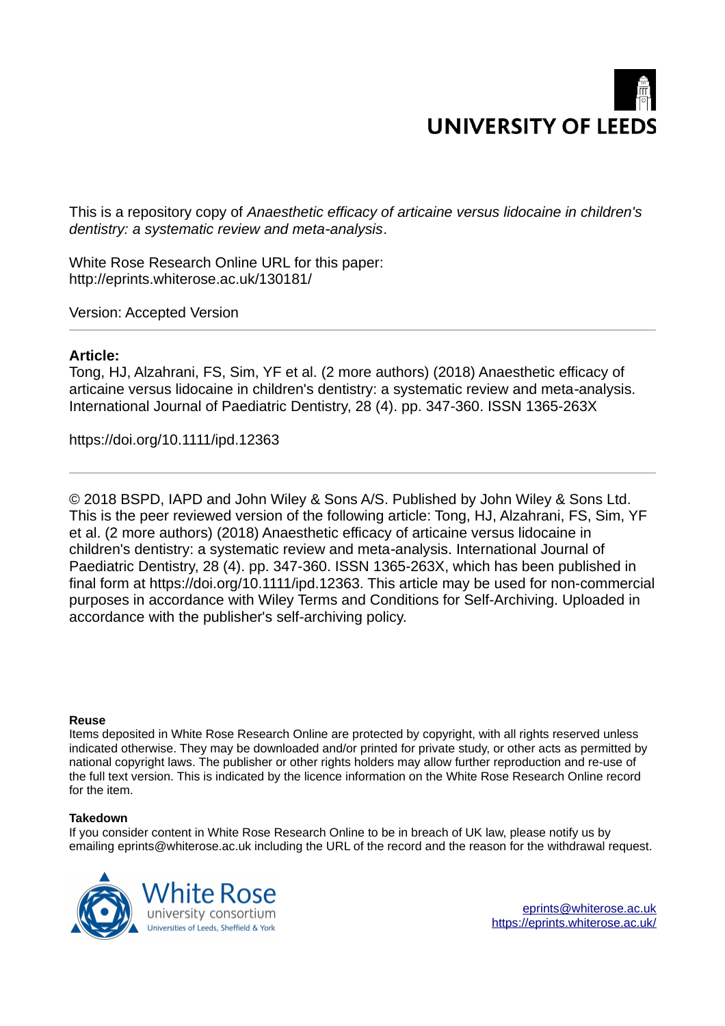# **UNIVERSITY OF LEED**

This is a repository copy of *Anaesthetic efficacy of articaine versus lidocaine in children's dentistry: a systematic review and meta analysis* ‐ .

White Rose Research Online URL for this paper: http://eprints.whiterose.ac.uk/130181/

Version: Accepted Version

# **Article:**

Tong, HJ, Alzahrani, FS, Sim, YF et al. (2 more authors) (2018) Anaesthetic efficacy of articaine versus lidocaine in children's dentistry: a systematic review and meta analysis. ‐ International Journal of Paediatric Dentistry, 28 (4). pp. 347-360. ISSN 1365-263X

https://doi.org/10.1111/ipd.12363

© 2018 BSPD, IAPD and John Wiley & Sons A/S. Published by John Wiley & Sons Ltd. This is the peer reviewed version of the following article: Tong, HJ, Alzahrani, FS, Sim, YF et al. (2 more authors) (2018) Anaesthetic efficacy of articaine versus lidocaine in children's dentistry: a systematic review and meta-analysis. International Journal of Paediatric Dentistry, 28 (4). pp. 347-360. ISSN 1365-263X, which has been published in final form at https://doi.org/10.1111/ipd.12363. This article may be used for non-commercial purposes in accordance with Wiley Terms and Conditions for Self-Archiving. Uploaded in accordance with the publisher's self-archiving policy.

## **Reuse**

Items deposited in White Rose Research Online are protected by copyright, with all rights reserved unless indicated otherwise. They may be downloaded and/or printed for private study, or other acts as permitted by national copyright laws. The publisher or other rights holders may allow further reproduction and re-use of the full text version. This is indicated by the licence information on the White Rose Research Online record for the item.

## **Takedown**

If you consider content in White Rose Research Online to be in breach of UK law, please notify us by emailing eprints@whiterose.ac.uk including the URL of the record and the reason for the withdrawal request.

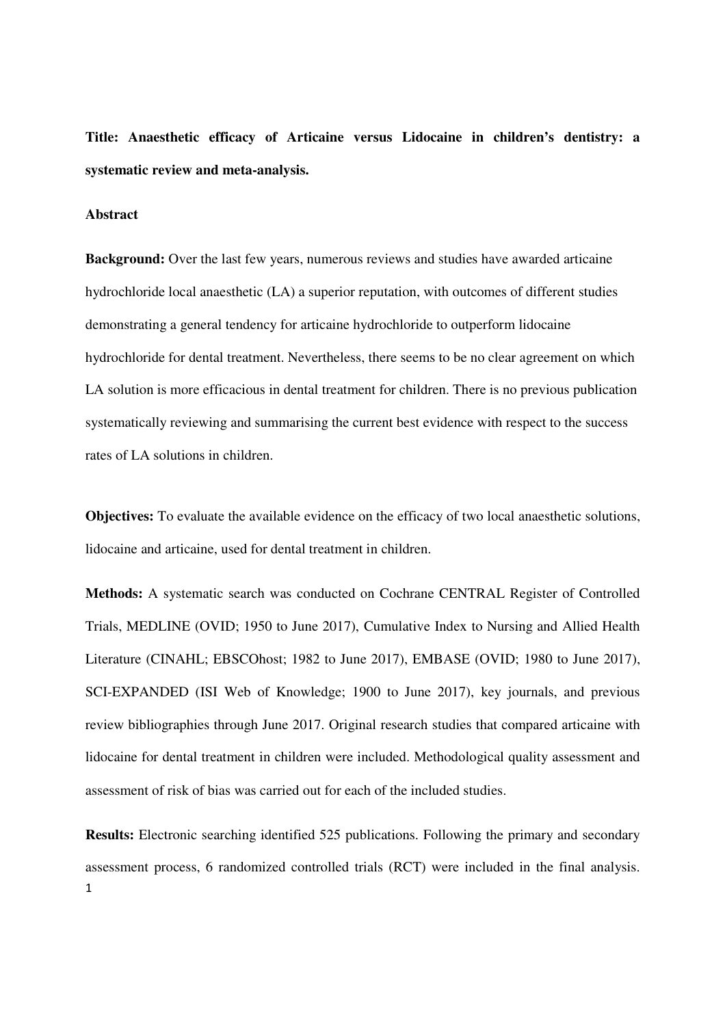**Title: Anaesthetic efficacy of Articaine versus Lidocaine in children's dentistry: a systematic review and meta-analysis.**

## **Abstract**

**Background:** Over the last few years, numerous reviews and studies have awarded articaine hydrochloride local anaesthetic (LA) a superior reputation, with outcomes of different studies demonstrating a general tendency for articaine hydrochloride to outperform lidocaine hydrochloride for dental treatment. Nevertheless, there seems to be no clear agreement on which LA solution is more efficacious in dental treatment for children. There is no previous publication systematically reviewing and summarising the current best evidence with respect to the success rates of LA solutions in children.

**Objectives:** To evaluate the available evidence on the efficacy of two local anaesthetic solutions, lidocaine and articaine, used for dental treatment in children.

**Methods:** A systematic search was conducted on Cochrane CENTRAL Register of Controlled Trials, MEDLINE (OVID; 1950 to June 2017), Cumulative Index to Nursing and Allied Health Literature (CINAHL; EBSCOhost; 1982 to June 2017), EMBASE (OVID; 1980 to June 2017), SCI-EXPANDED (ISI Web of Knowledge; 1900 to June 2017), key journals, and previous review bibliographies through June 2017. Original research studies that compared articaine with lidocaine for dental treatment in children were included. Methodological quality assessment and assessment of risk of bias was carried out for each of the included studies.

1 **Results:** Electronic searching identified 525 publications. Following the primary and secondary assessment process, 6 randomized controlled trials (RCT) were included in the final analysis.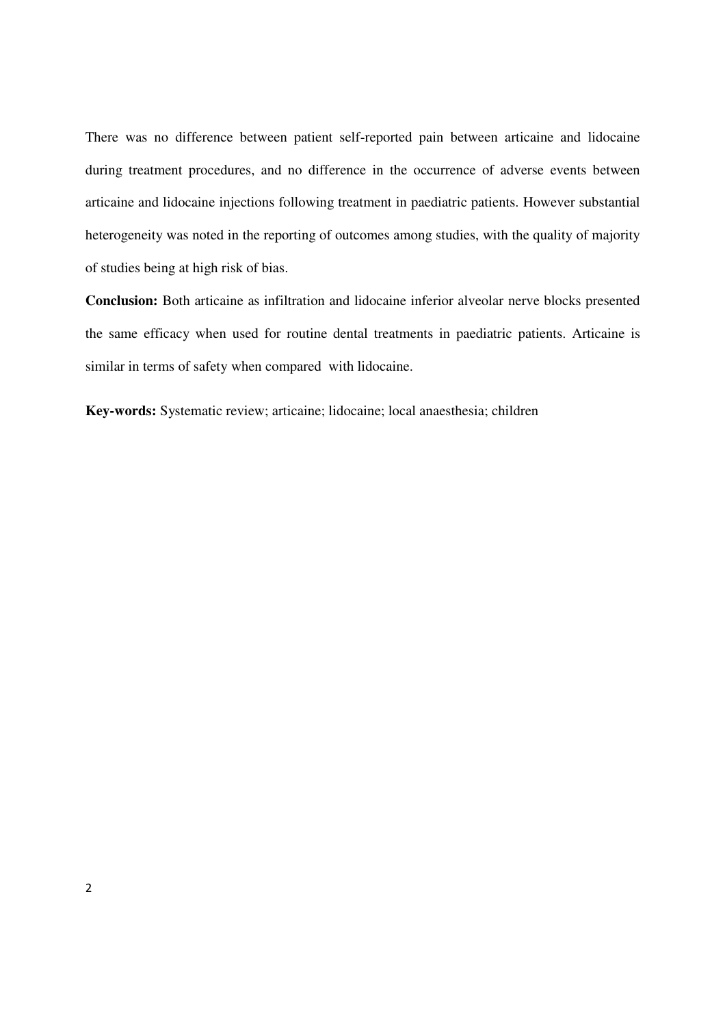There was no difference between patient self-reported pain between articaine and lidocaine during treatment procedures, and no difference in the occurrence of adverse events between articaine and lidocaine injections following treatment in paediatric patients. However substantial heterogeneity was noted in the reporting of outcomes among studies, with the quality of majority of studies being at high risk of bias.

**Conclusion:** Both articaine as infiltration and lidocaine inferior alveolar nerve blocks presented the same efficacy when used for routine dental treatments in paediatric patients. Articaine is similar in terms of safety when compared with lidocaine.

**Key-words:** Systematic review; articaine; lidocaine; local anaesthesia; children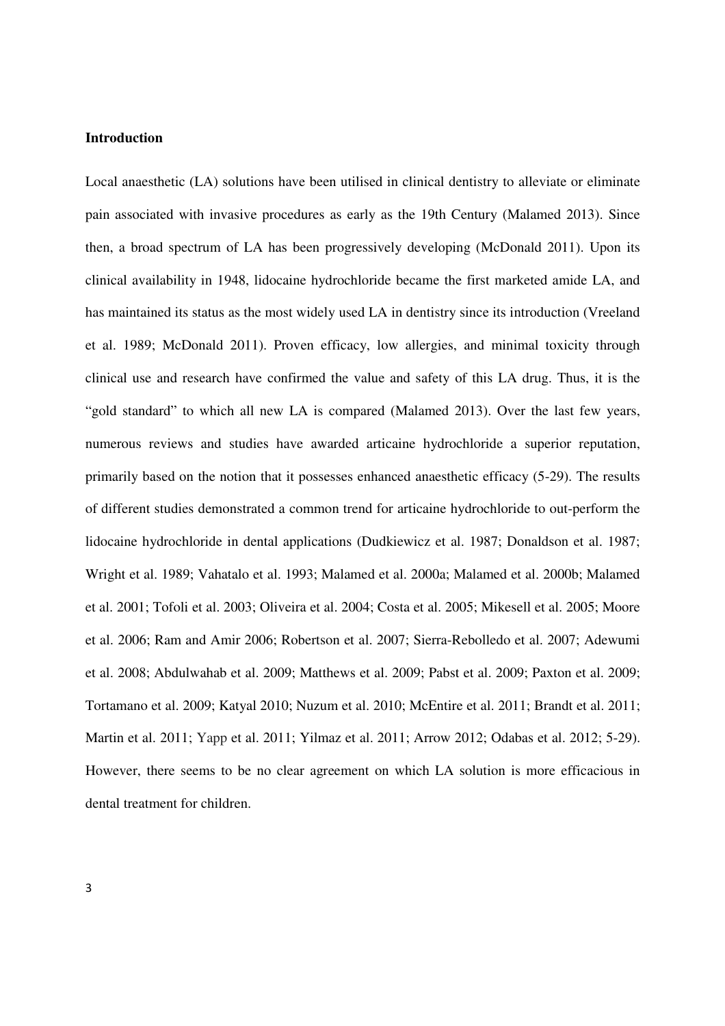## **Introduction**

Local anaesthetic (LA) solutions have been utilised in clinical dentistry to alleviate or eliminate pain associated with invasive procedures as early as the 19th Century (Malamed 2013). Since then, a broad spectrum of LA has been progressively developing (McDonald 2011). Upon its clinical availability in 1948, lidocaine hydrochloride became the first marketed amide LA, and has maintained its status as the most widely used LA in dentistry since its introduction (Vreeland et al. 1989; McDonald 2011). Proven efficacy, low allergies, and minimal toxicity through clinical use and research have confirmed the value and safety of this LA drug. Thus, it is the "gold standard" to which all new LA is compared (Malamed 2013). Over the last few years, numerous reviews and studies have awarded articaine hydrochloride a superior reputation, primarily based on the notion that it possesses enhanced anaesthetic efficacy (5-29). The results of different studies demonstrated a common trend for articaine hydrochloride to out-perform the lidocaine hydrochloride in dental applications (Dudkiewicz et al. 1987; Donaldson et al. 1987; Wright et al. 1989; Vahatalo et al. 1993; Malamed et al. 2000a; Malamed et al. 2000b; Malamed et al. 2001; Tofoli et al. 2003; Oliveira et al. 2004; Costa et al. 2005; Mikesell et al. 2005; Moore et al. 2006; Ram and Amir 2006; Robertson et al. 2007; Sierra-Rebolledo et al. 2007; Adewumi et al. 2008; Abdulwahab et al. 2009; Matthews et al. 2009; Pabst et al. 2009; Paxton et al. 2009; Tortamano et al. 2009; Katyal 2010; Nuzum et al. 2010; McEntire et al. 2011; Brandt et al. 2011; Martin et al. 2011; Yapp et al. 2011; Yilmaz et al. 2011; Arrow 2012; Odabas et al. 2012; 5-29). However, there seems to be no clear agreement on which LA solution is more efficacious in dental treatment for children.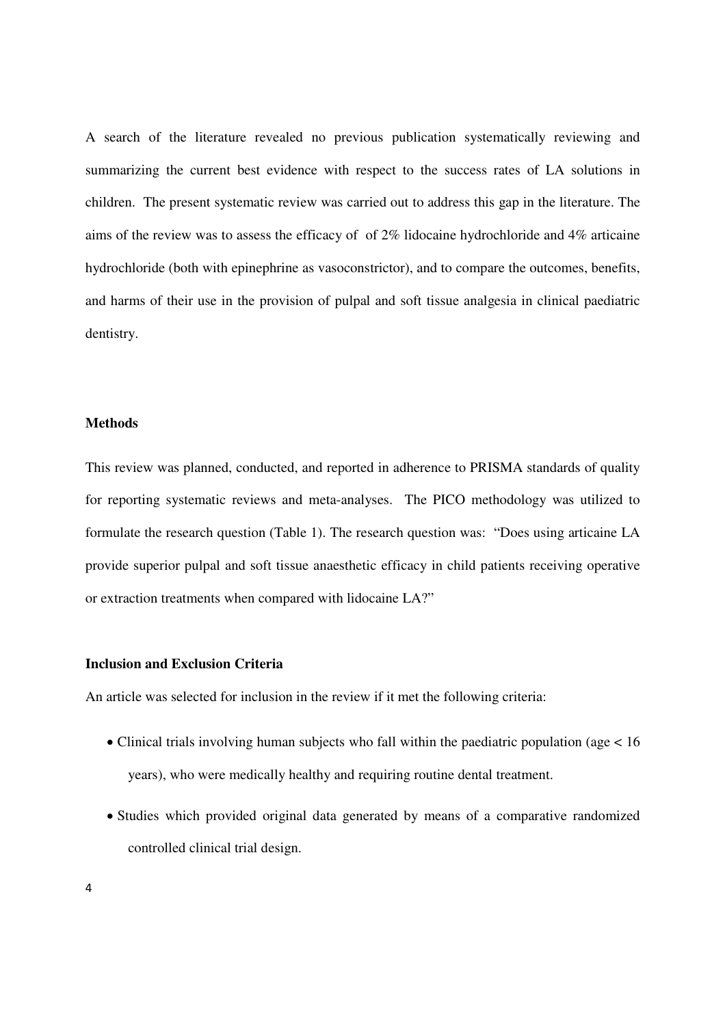A search of the literature revealed no previous publication systematically reviewing and summarizing the current best evidence with respect to the success rates of LA solutions in children. The present systematic review was carried out to address this gap in the literature. The aims of the review was to assess the efficacy of of 2% lidocaine hydrochloride and 4% articaine hydrochloride (both with epinephrine as vasoconstrictor), and to compare the outcomes, benefits, and harms of their use in the provision of pulpal and soft tissue analgesia in clinical paediatric dentistry.

## **Methods**

This review was planned, conducted, and reported in adherence to PRISMA standards of quality for reporting systematic reviews and meta-analyses. The PICO methodology was utilized to formulate the research question (Table 1). The research question was: "Does using articaine LA provide superior pulpal and soft tissue anaesthetic efficacy in child patients receiving operative or extraction treatments when compared with lidocaine LA?"

# **Inclusion and Exclusion Criteria**

An article was selected for inclusion in the review if it met the following criteria:

- Clinical trials involving human subjects who fall within the paediatric population (age  $< 16$ ) years), who were medically healthy and requiring routine dental treatment.
- Studies which provided original data generated by means of a comparative randomized controlled clinical trial design.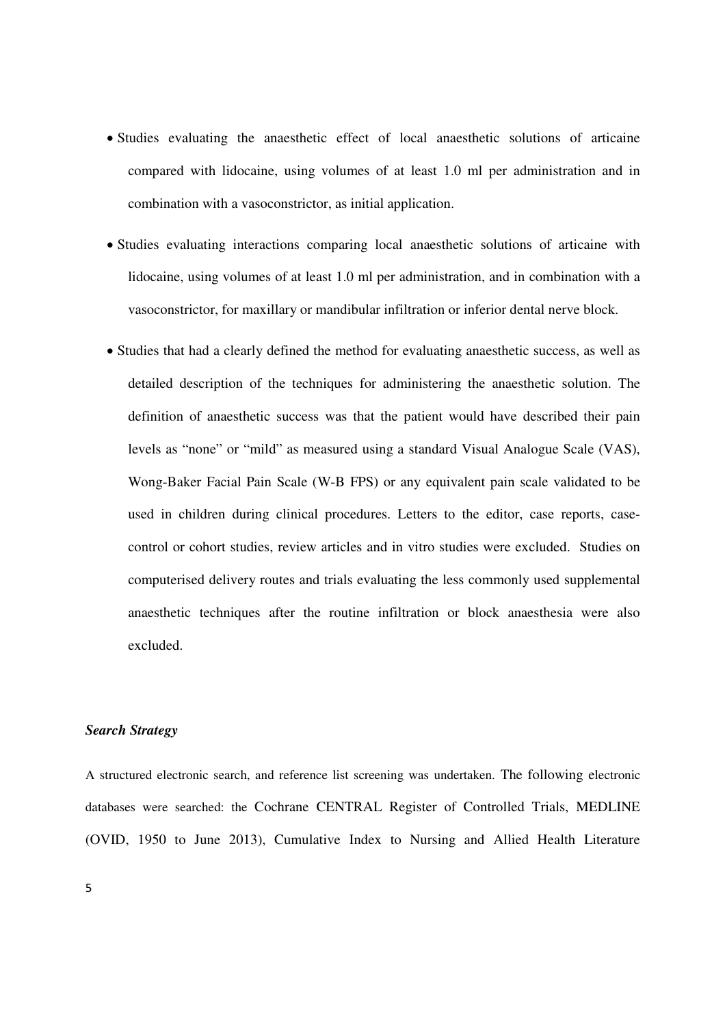- Studies evaluating the anaesthetic effect of local anaesthetic solutions of articaine compared with lidocaine, using volumes of at least 1.0 ml per administration and in combination with a vasoconstrictor, as initial application.
- Studies evaluating interactions comparing local anaesthetic solutions of articaine with lidocaine, using volumes of at least 1.0 ml per administration, and in combination with a vasoconstrictor, for maxillary or mandibular infiltration or inferior dental nerve block.
- Studies that had a clearly defined the method for evaluating anaesthetic success, as well as detailed description of the techniques for administering the anaesthetic solution. The definition of anaesthetic success was that the patient would have described their pain levels as "none" or "mild" as measured using a standard Visual Analogue Scale (VAS), Wong-Baker Facial Pain Scale (W-B FPS) or any equivalent pain scale validated to be used in children during clinical procedures. Letters to the editor, case reports, casecontrol or cohort studies, review articles and in vitro studies were excluded. Studies on computerised delivery routes and trials evaluating the less commonly used supplemental anaesthetic techniques after the routine infiltration or block anaesthesia were also excluded.

# *Search Strategy*

A structured electronic search, and reference list screening was undertaken. The following electronic databases were searched: the Cochrane CENTRAL Register of Controlled Trials, MEDLINE (OVID, 1950 to June 2013), Cumulative Index to Nursing and Allied Health Literature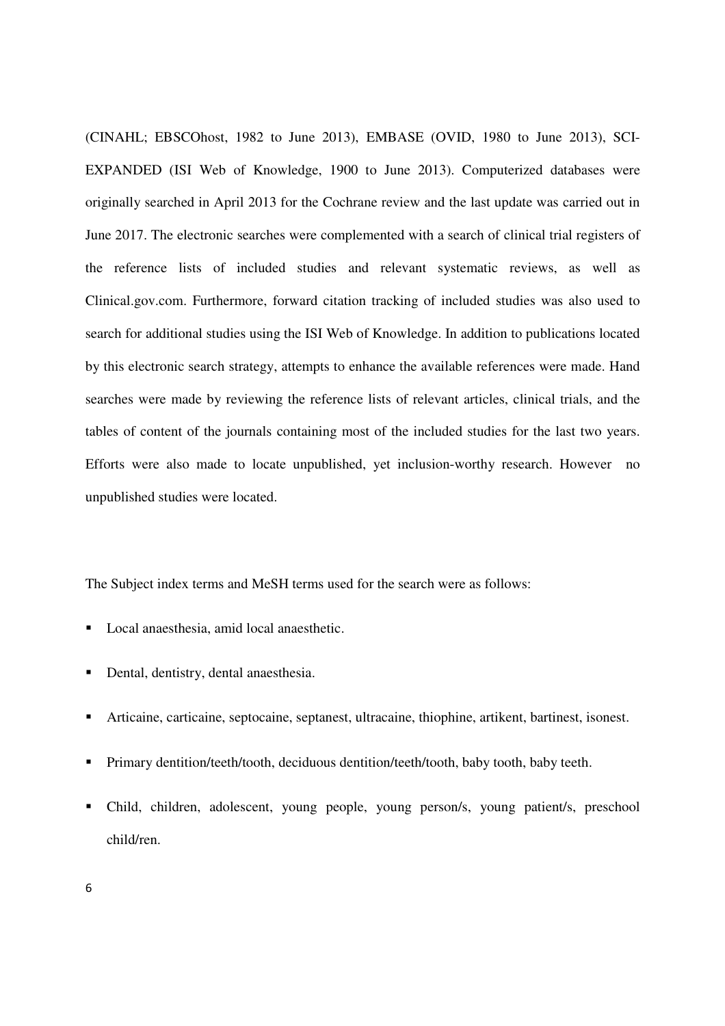(CINAHL; EBSCOhost, 1982 to June 2013), EMBASE (OVID, 1980 to June 2013), SCI-EXPANDED (ISI Web of Knowledge, 1900 to June 2013). Computerized databases were originally searched in April 2013 for the Cochrane review and the last update was carried out in June 2017. The electronic searches were complemented with a search of clinical trial registers of the reference lists of included studies and relevant systematic reviews, as well as Clinical.gov.com. Furthermore, forward citation tracking of included studies was also used to search for additional studies using the ISI Web of Knowledge. In addition to publications located by this electronic search strategy, attempts to enhance the available references were made. Hand searches were made by reviewing the reference lists of relevant articles, clinical trials, and the tables of content of the journals containing most of the included studies for the last two years. Efforts were also made to locate unpublished, yet inclusion-worthy research. However no unpublished studies were located.

The Subject index terms and MeSH terms used for the search were as follows:

- Local anaesthesia, amid local anaesthetic.
- Dental, dentistry, dental anaesthesia.
- Articaine, carticaine, septocaine, septanest, ultracaine, thiophine, artikent, bartinest, isonest.
- Primary dentition/teeth/tooth, deciduous dentition/teeth/tooth, baby tooth, baby teeth.
- Child, children, adolescent, young people, young person/s, young patient/s, preschool child/ren.
- 6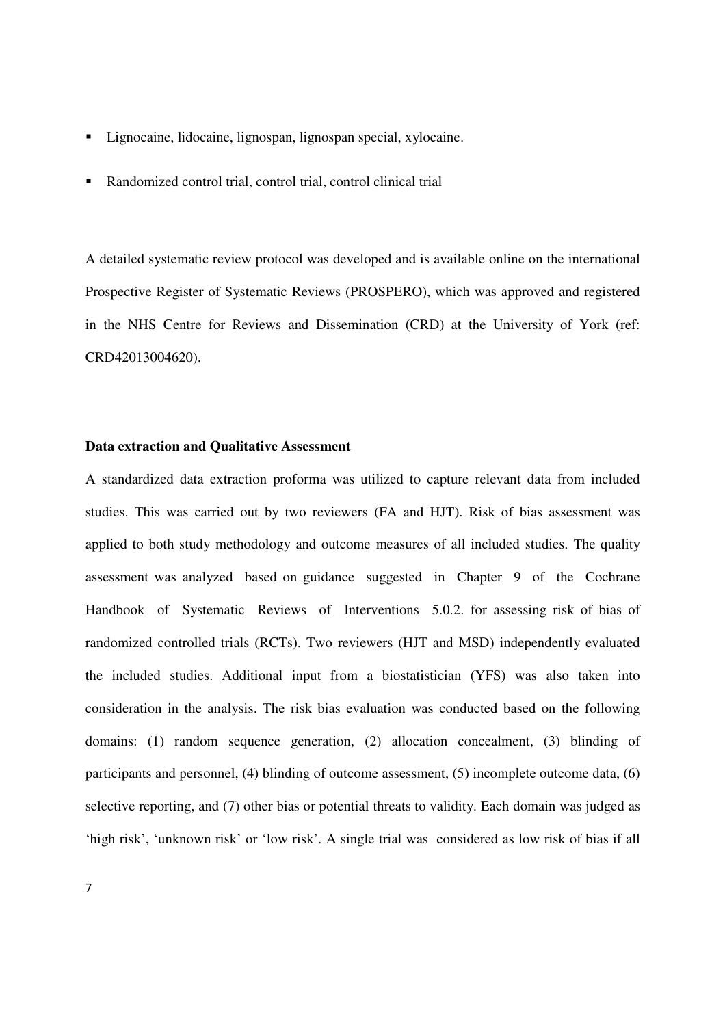- Lignocaine, lidocaine, lignospan, lignospan special, xylocaine.
- Randomized control trial, control trial, control clinical trial

A detailed systematic review protocol was developed and is available online on the international Prospective Register of Systematic Reviews (PROSPERO), which was approved and registered in the NHS Centre for Reviews and Dissemination (CRD) at the University of York (ref: CRD42013004620).

# **Data extraction and Qualitative Assessment**

A standardized data extraction proforma was utilized to capture relevant data from included studies. This was carried out by two reviewers (FA and HJT). Risk of bias assessment was applied to both study methodology and outcome measures of all included studies. The quality assessment was analyzed based on guidance suggested in Chapter 9 of the Cochrane Handbook of Systematic Reviews of Interventions 5.0.2. for assessing risk of bias of randomized controlled trials (RCTs). Two reviewers (HJT and MSD) independently evaluated the included studies. Additional input from a biostatistician (YFS) was also taken into consideration in the analysis. The risk bias evaluation was conducted based on the following domains: (1) random sequence generation, (2) allocation concealment, (3) blinding of participants and personnel, (4) blinding of outcome assessment, (5) incomplete outcome data, (6) selective reporting, and (7) other bias or potential threats to validity. Each domain was judged as 'high risk', 'unknown risk' or 'low risk'. A single trial was considered as low risk of bias if all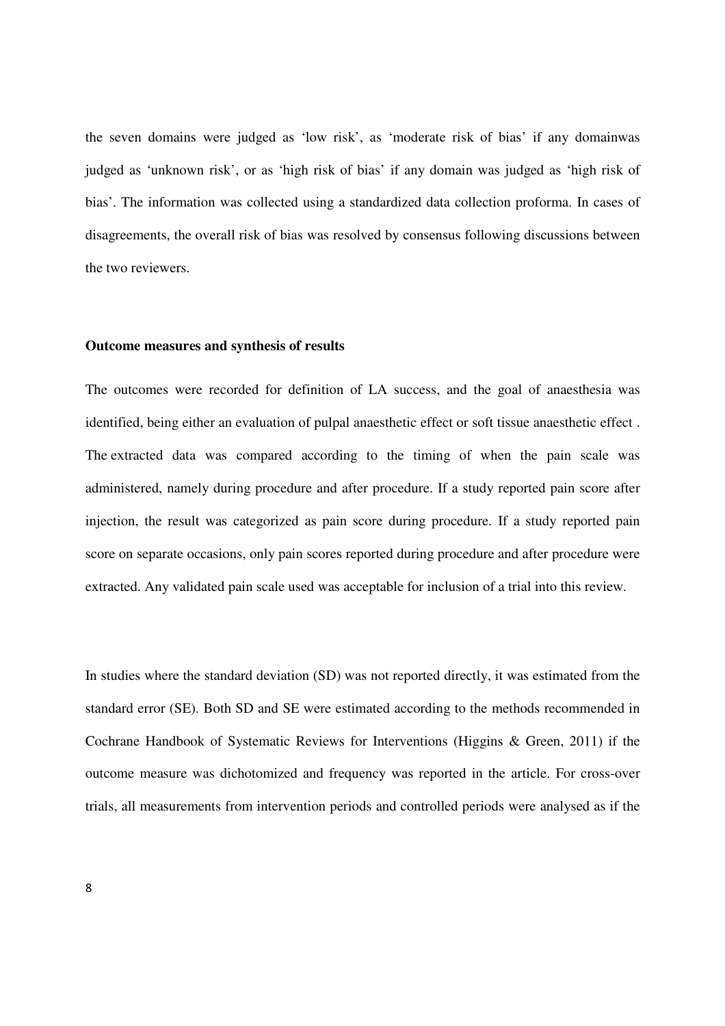the seven domains were judged as 'low risk', as 'moderate risk of bias' if any domainwas judged as 'unknown risk', or as 'high risk of bias' if any domain was judged as 'high risk of bias'. The information was collected using a standardized data collection proforma. In cases of disagreements, the overall risk of bias was resolved by consensus following discussions between the two reviewers.

## **Outcome measures and synthesis of results**

The outcomes were recorded for definition of LA success, and the goal of anaesthesia was identified, being either an evaluation of pulpal anaesthetic effect or soft tissue anaesthetic effect . The extracted data was compared according to the timing of when the pain scale was administered, namely during procedure and after procedure. If a study reported pain score after injection, the result was categorized as pain score during procedure. If a study reported pain score on separate occasions, only pain scores reported during procedure and after procedure were extracted. Any validated pain scale used was acceptable for inclusion of a trial into this review.

In studies where the standard deviation (SD) was not reported directly, it was estimated from the standard error (SE). Both SD and SE were estimated according to the methods recommended in Cochrane Handbook of Systematic Reviews for Interventions (Higgins & Green, 2011) if the outcome measure was dichotomized and frequency was reported in the article. For cross-over trials, all measurements from intervention periods and controlled periods were analysed as if the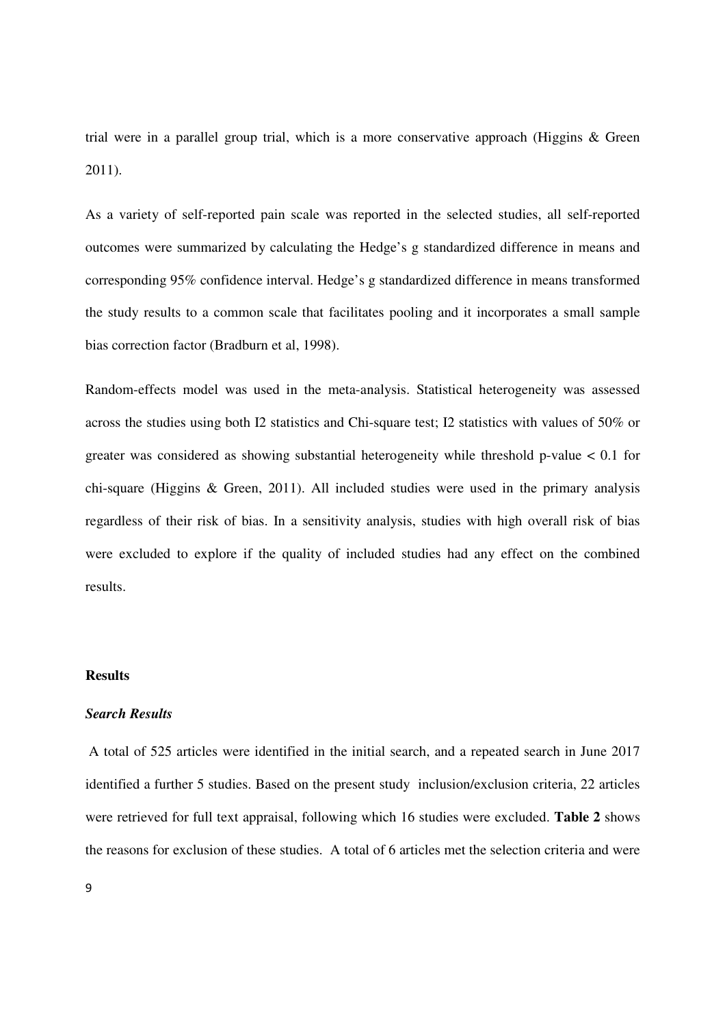trial were in a parallel group trial, which is a more conservative approach (Higgins & Green 2011).

As a variety of self-reported pain scale was reported in the selected studies, all self-reported outcomes were summarized by calculating the Hedge's g standardized difference in means and corresponding 95% confidence interval. Hedge's g standardized difference in means transformed the study results to a common scale that facilitates pooling and it incorporates a small sample bias correction factor (Bradburn et al, 1998).

Random-effects model was used in the meta-analysis. Statistical heterogeneity was assessed across the studies using both I2 statistics and Chi-square test; I2 statistics with values of 50% or greater was considered as showing substantial heterogeneity while threshold p-value < 0.1 for chi-square (Higgins & Green, 2011). All included studies were used in the primary analysis regardless of their risk of bias. In a sensitivity analysis, studies with high overall risk of bias were excluded to explore if the quality of included studies had any effect on the combined results.

## **Results**

# *Search Results*

A total of 525 articles were identified in the initial search, and a repeated search in June 2017 identified a further 5 studies. Based on the present study inclusion/exclusion criteria, 22 articles were retrieved for full text appraisal, following which 16 studies were excluded. **Table 2** shows the reasons for exclusion of these studies. A total of 6 articles met the selection criteria and were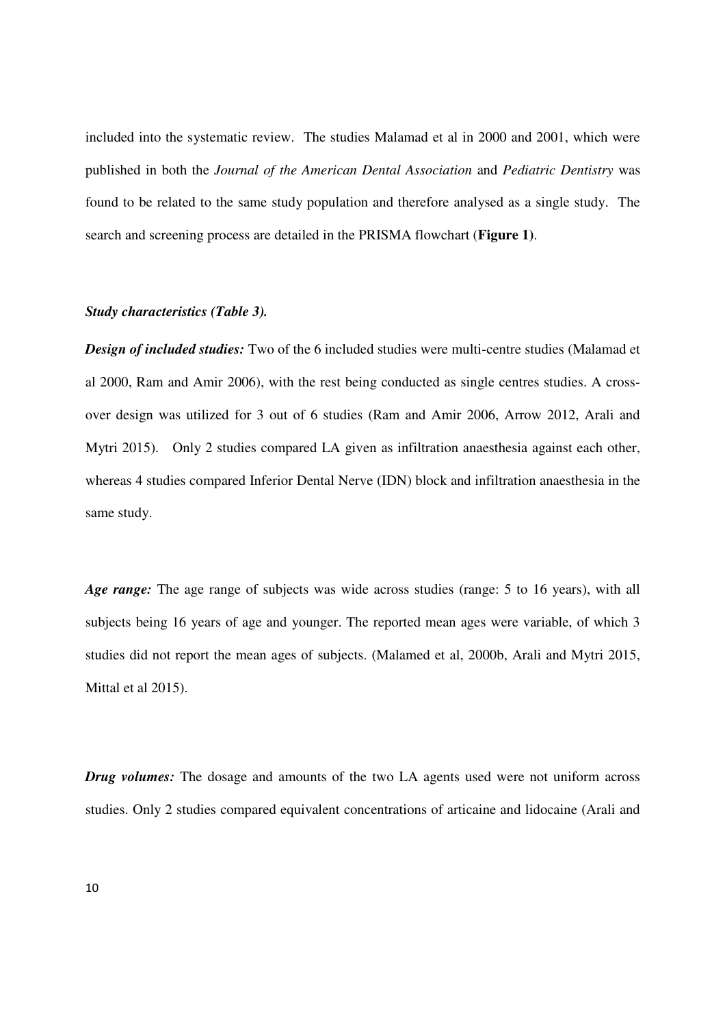included into the systematic review. The studies Malamad et al in 2000 and 2001, which were published in both the *Journal of the American Dental Association* and *Pediatric Dentistry* was found to be related to the same study population and therefore analysed as a single study. The search and screening process are detailed in the PRISMA flowchart (**Figure 1)**.

#### *Study characteristics (Table 3).*

*Design of included studies:* Two of the 6 included studies were multi-centre studies (Malamad et al 2000, Ram and Amir 2006), with the rest being conducted as single centres studies. A crossover design was utilized for 3 out of 6 studies (Ram and Amir 2006, Arrow 2012, Arali and Mytri 2015). Only 2 studies compared LA given as infiltration anaesthesia against each other, whereas 4 studies compared Inferior Dental Nerve (IDN) block and infiltration anaesthesia in the same study.

*Age range:* The age range of subjects was wide across studies (range: 5 to 16 years), with all subjects being 16 years of age and younger. The reported mean ages were variable, of which 3 studies did not report the mean ages of subjects. (Malamed et al, 2000b, Arali and Mytri 2015, Mittal et al 2015).

*Drug volumes:* The dosage and amounts of the two LA agents used were not uniform across studies. Only 2 studies compared equivalent concentrations of articaine and lidocaine (Arali and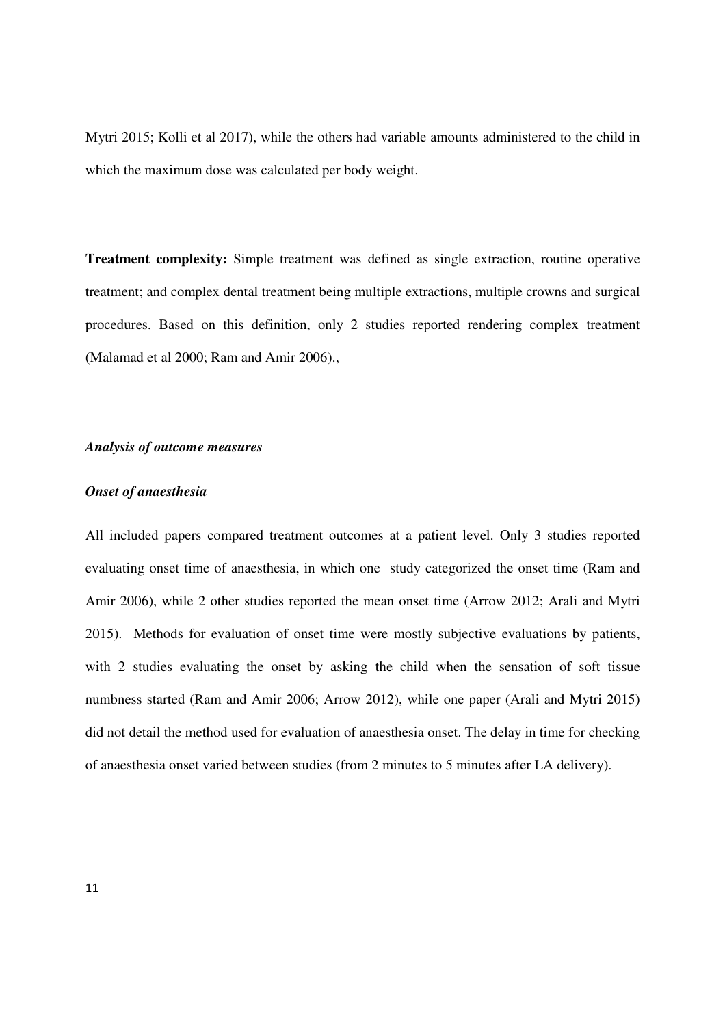Mytri 2015; Kolli et al 2017), while the others had variable amounts administered to the child in which the maximum dose was calculated per body weight.

**Treatment complexity:** Simple treatment was defined as single extraction, routine operative treatment; and complex dental treatment being multiple extractions, multiple crowns and surgical procedures. Based on this definition, only 2 studies reported rendering complex treatment (Malamad et al 2000; Ram and Amir 2006).,

# *Analysis of outcome measures*

## *Onset of anaesthesia*

All included papers compared treatment outcomes at a patient level. Only 3 studies reported evaluating onset time of anaesthesia, in which one study categorized the onset time (Ram and Amir 2006), while 2 other studies reported the mean onset time (Arrow 2012; Arali and Mytri 2015). Methods for evaluation of onset time were mostly subjective evaluations by patients, with 2 studies evaluating the onset by asking the child when the sensation of soft tissue numbness started (Ram and Amir 2006; Arrow 2012), while one paper (Arali and Mytri 2015) did not detail the method used for evaluation of anaesthesia onset. The delay in time for checking of anaesthesia onset varied between studies (from 2 minutes to 5 minutes after LA delivery).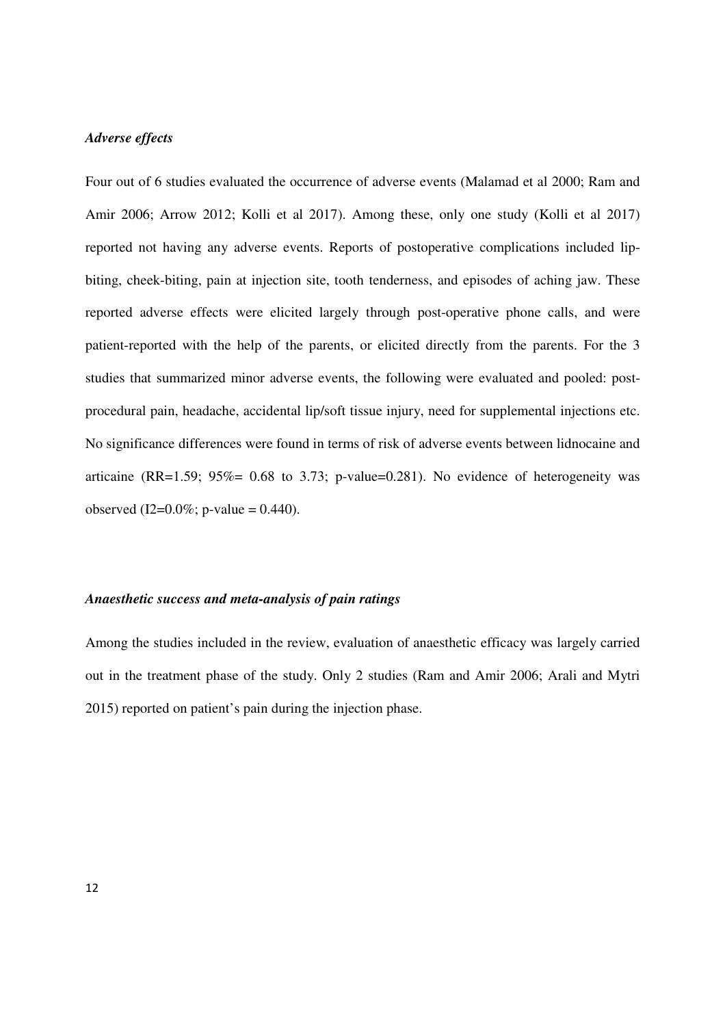## *Adverse effects*

Four out of 6 studies evaluated the occurrence of adverse events (Malamad et al 2000; Ram and Amir 2006; Arrow 2012; Kolli et al 2017). Among these, only one study (Kolli et al 2017) reported not having any adverse events. Reports of postoperative complications included lipbiting, cheek-biting, pain at injection site, tooth tenderness, and episodes of aching jaw. These reported adverse effects were elicited largely through post-operative phone calls, and were patient-reported with the help of the parents, or elicited directly from the parents. For the 3 studies that summarized minor adverse events, the following were evaluated and pooled: postprocedural pain, headache, accidental lip/soft tissue injury, need for supplemental injections etc. No significance differences were found in terms of risk of adverse events between lidnocaine and articaine (RR=1.59;  $95\% = 0.68$  to 3.73; p-value=0.281). No evidence of heterogeneity was observed (I2= $0.0\%$ ; p-value = 0.440).

## *Anaesthetic success and meta-analysis of pain ratings*

Among the studies included in the review, evaluation of anaesthetic efficacy was largely carried out in the treatment phase of the study. Only 2 studies (Ram and Amir 2006; Arali and Mytri 2015) reported on patient's pain during the injection phase.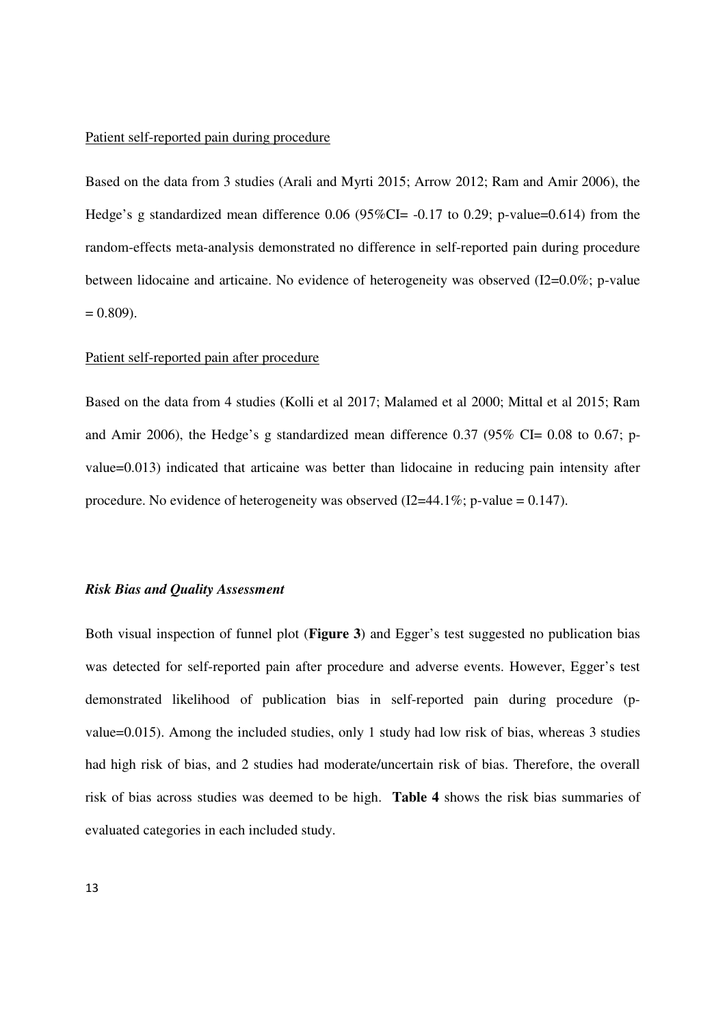#### Patient self-reported pain during procedure

Based on the data from 3 studies (Arali and Myrti 2015; Arrow 2012; Ram and Amir 2006), the Hedge's g standardized mean difference 0.06 (95%CI= -0.17 to 0.29; p-value=0.614) from the random-effects meta-analysis demonstrated no difference in self-reported pain during procedure between lidocaine and articaine. No evidence of heterogeneity was observed (I2=0.0%; p-value  $= 0.809$ ).

#### Patient self-reported pain after procedure

Based on the data from 4 studies (Kolli et al 2017; Malamed et al 2000; Mittal et al 2015; Ram and Amir 2006), the Hedge's g standardized mean difference  $0.37$  (95% CI= 0.08 to 0.67; pvalue=0.013) indicated that articaine was better than lidocaine in reducing pain intensity after procedure. No evidence of heterogeneity was observed (I2=44.1%; p-value = 0.147).

#### *Risk Bias and Quality Assessment*

Both visual inspection of funnel plot (**Figure 3**) and Egger's test suggested no publication bias was detected for self-reported pain after procedure and adverse events. However, Egger's test demonstrated likelihood of publication bias in self-reported pain during procedure (pvalue=0.015). Among the included studies, only 1 study had low risk of bias, whereas 3 studies had high risk of bias, and 2 studies had moderate/uncertain risk of bias. Therefore, the overall risk of bias across studies was deemed to be high. **Table 4** shows the risk bias summaries of evaluated categories in each included study.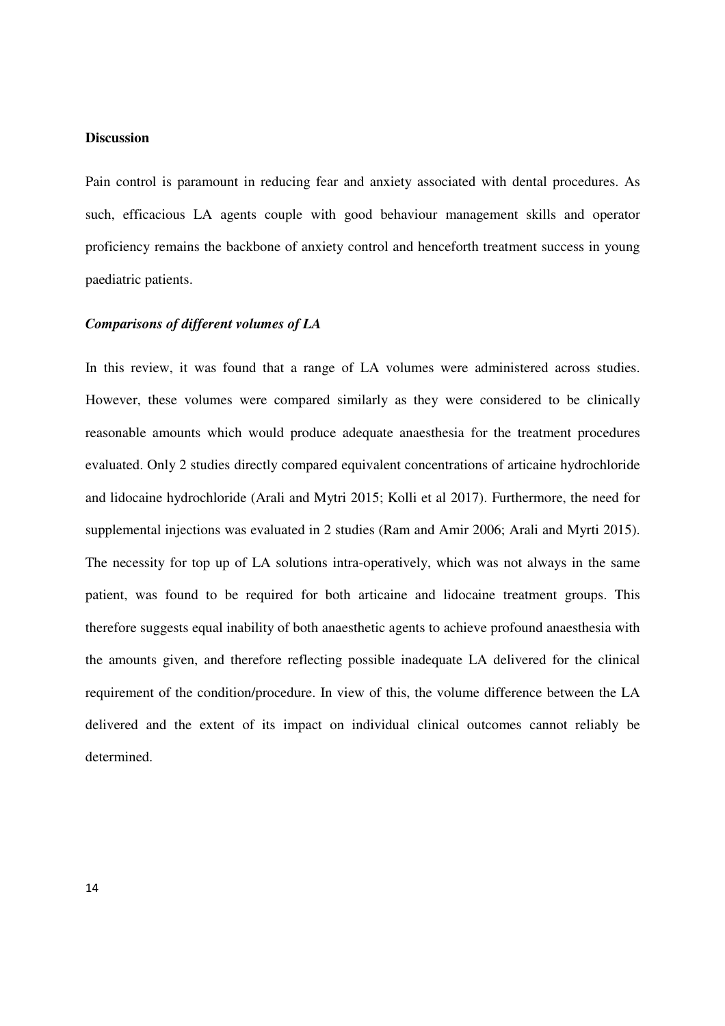## **Discussion**

Pain control is paramount in reducing fear and anxiety associated with dental procedures. As such, efficacious LA agents couple with good behaviour management skills and operator proficiency remains the backbone of anxiety control and henceforth treatment success in young paediatric patients.

#### *Comparisons of different volumes of LA*

In this review, it was found that a range of LA volumes were administered across studies. However, these volumes were compared similarly as they were considered to be clinically reasonable amounts which would produce adequate anaesthesia for the treatment procedures evaluated. Only 2 studies directly compared equivalent concentrations of articaine hydrochloride and lidocaine hydrochloride (Arali and Mytri 2015; Kolli et al 2017). Furthermore, the need for supplemental injections was evaluated in 2 studies (Ram and Amir 2006; Arali and Myrti 2015). The necessity for top up of LA solutions intra-operatively, which was not always in the same patient, was found to be required for both articaine and lidocaine treatment groups. This therefore suggests equal inability of both anaesthetic agents to achieve profound anaesthesia with the amounts given, and therefore reflecting possible inadequate LA delivered for the clinical requirement of the condition/procedure. In view of this, the volume difference between the LA delivered and the extent of its impact on individual clinical outcomes cannot reliably be determined.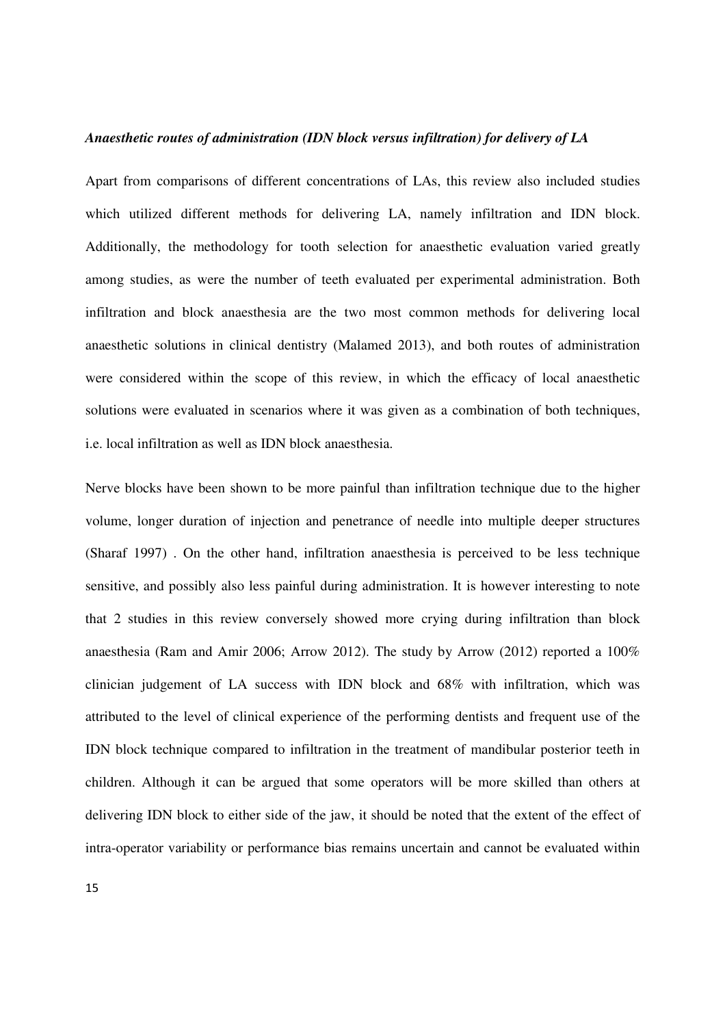#### *Anaesthetic routes of administration (IDN block versus infiltration) for delivery of LA*

Apart from comparisons of different concentrations of LAs, this review also included studies which utilized different methods for delivering LA, namely infiltration and IDN block. Additionally, the methodology for tooth selection for anaesthetic evaluation varied greatly among studies, as were the number of teeth evaluated per experimental administration. Both infiltration and block anaesthesia are the two most common methods for delivering local anaesthetic solutions in clinical dentistry (Malamed 2013), and both routes of administration were considered within the scope of this review, in which the efficacy of local anaesthetic solutions were evaluated in scenarios where it was given as a combination of both techniques, i.e. local infiltration as well as IDN block anaesthesia.

Nerve blocks have been shown to be more painful than infiltration technique due to the higher volume, longer duration of injection and penetrance of needle into multiple deeper structures (Sharaf 1997) . On the other hand, infiltration anaesthesia is perceived to be less technique sensitive, and possibly also less painful during administration. It is however interesting to note that 2 studies in this review conversely showed more crying during infiltration than block anaesthesia (Ram and Amir 2006; Arrow 2012). The study by Arrow (2012) reported a 100% clinician judgement of LA success with IDN block and 68% with infiltration, which was attributed to the level of clinical experience of the performing dentists and frequent use of the IDN block technique compared to infiltration in the treatment of mandibular posterior teeth in children. Although it can be argued that some operators will be more skilled than others at delivering IDN block to either side of the jaw, it should be noted that the extent of the effect of intra-operator variability or performance bias remains uncertain and cannot be evaluated within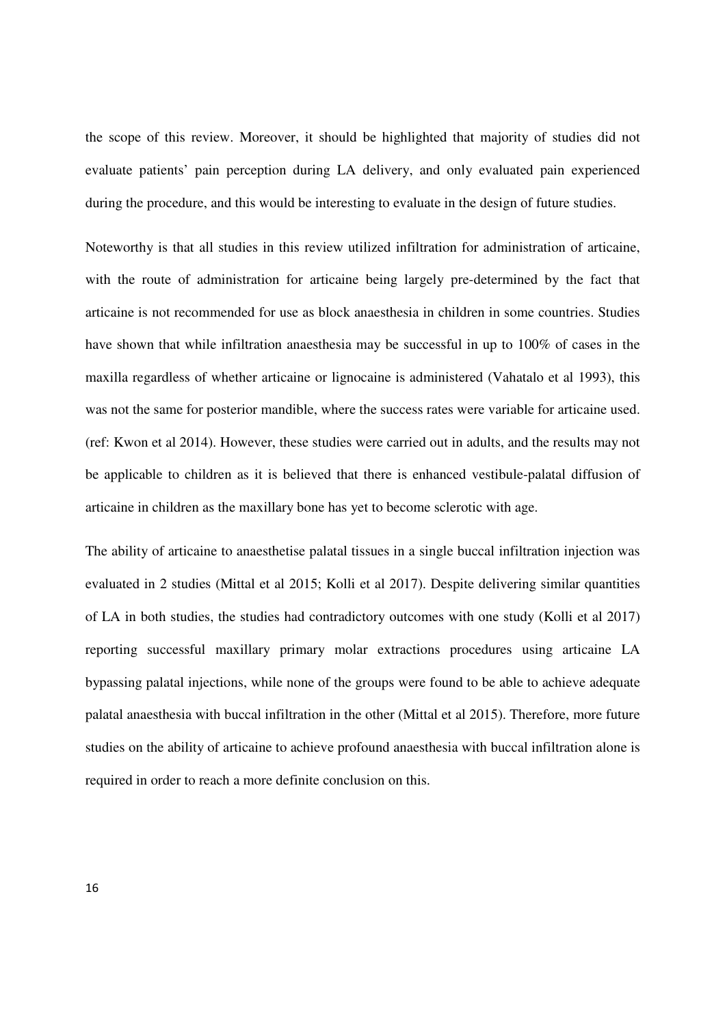the scope of this review. Moreover, it should be highlighted that majority of studies did not evaluate patients' pain perception during LA delivery, and only evaluated pain experienced during the procedure, and this would be interesting to evaluate in the design of future studies.

Noteworthy is that all studies in this review utilized infiltration for administration of articaine, with the route of administration for articaine being largely pre-determined by the fact that articaine is not recommended for use as block anaesthesia in children in some countries. Studies have shown that while infiltration anaesthesia may be successful in up to 100% of cases in the maxilla regardless of whether articaine or lignocaine is administered (Vahatalo et al 1993), this was not the same for posterior mandible, where the success rates were variable for articaine used. (ref: Kwon et al 2014). However, these studies were carried out in adults, and the results may not be applicable to children as it is believed that there is enhanced vestibule-palatal diffusion of articaine in children as the maxillary bone has yet to become sclerotic with age.

The ability of articaine to anaesthetise palatal tissues in a single buccal infiltration injection was evaluated in 2 studies (Mittal et al 2015; Kolli et al 2017). Despite delivering similar quantities of LA in both studies, the studies had contradictory outcomes with one study (Kolli et al 2017) reporting successful maxillary primary molar extractions procedures using articaine LA bypassing palatal injections, while none of the groups were found to be able to achieve adequate palatal anaesthesia with buccal infiltration in the other (Mittal et al 2015). Therefore, more future studies on the ability of articaine to achieve profound anaesthesia with buccal infiltration alone is required in order to reach a more definite conclusion on this.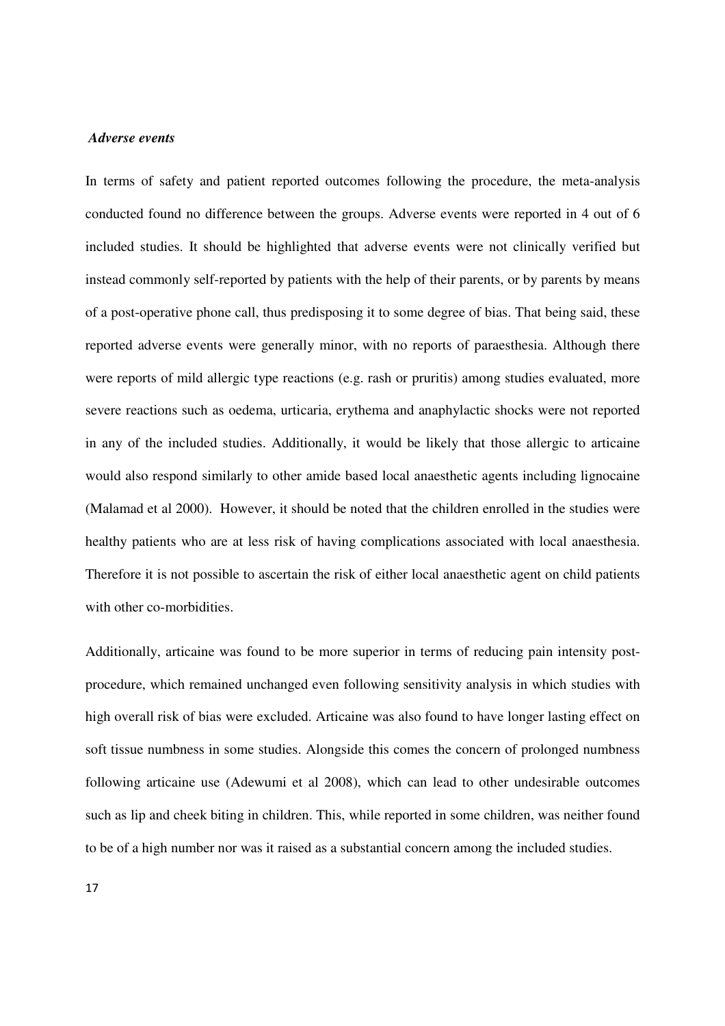#### *Adverse events*

In terms of safety and patient reported outcomes following the procedure, the meta-analysis conducted found no difference between the groups. Adverse events were reported in 4 out of 6 included studies. It should be highlighted that adverse events were not clinically verified but instead commonly self-reported by patients with the help of their parents, or by parents by means of a post-operative phone call, thus predisposing it to some degree of bias. That being said, these reported adverse events were generally minor, with no reports of paraesthesia. Although there were reports of mild allergic type reactions (e.g. rash or pruritis) among studies evaluated, more severe reactions such as oedema, urticaria, erythema and anaphylactic shocks were not reported in any of the included studies. Additionally, it would be likely that those allergic to articaine would also respond similarly to other amide based local anaesthetic agents including lignocaine (Malamad et al 2000). However, it should be noted that the children enrolled in the studies were healthy patients who are at less risk of having complications associated with local anaesthesia. Therefore it is not possible to ascertain the risk of either local anaesthetic agent on child patients with other co-morbidities.

Additionally, articaine was found to be more superior in terms of reducing pain intensity postprocedure, which remained unchanged even following sensitivity analysis in which studies with high overall risk of bias were excluded. Articaine was also found to have longer lasting effect on soft tissue numbness in some studies. Alongside this comes the concern of prolonged numbness following articaine use (Adewumi et al 2008), which can lead to other undesirable outcomes such as lip and cheek biting in children. This, while reported in some children, was neither found to be of a high number nor was it raised as a substantial concern among the included studies.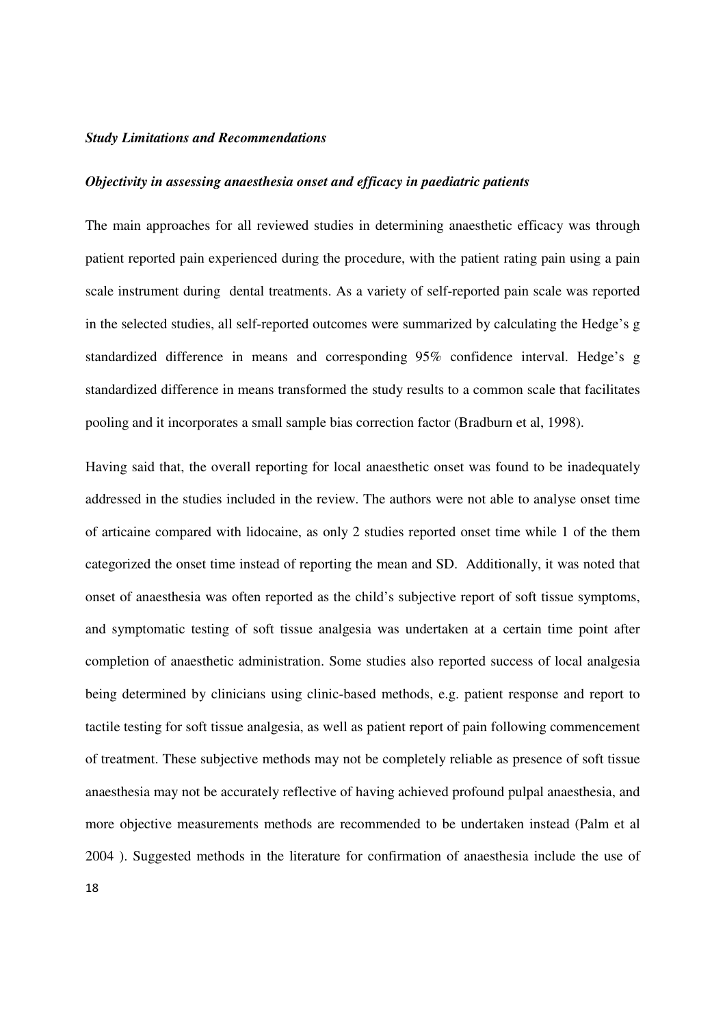#### *Study Limitations and Recommendations*

#### *Objectivity in assessing anaesthesia onset and efficacy in paediatric patients*

The main approaches for all reviewed studies in determining anaesthetic efficacy was through patient reported pain experienced during the procedure, with the patient rating pain using a pain scale instrument during dental treatments. As a variety of self-reported pain scale was reported in the selected studies, all self-reported outcomes were summarized by calculating the Hedge's g standardized difference in means and corresponding 95% confidence interval. Hedge's g standardized difference in means transformed the study results to a common scale that facilitates pooling and it incorporates a small sample bias correction factor (Bradburn et al, 1998).

Having said that, the overall reporting for local anaesthetic onset was found to be inadequately addressed in the studies included in the review. The authors were not able to analyse onset time of articaine compared with lidocaine, as only 2 studies reported onset time while 1 of the them categorized the onset time instead of reporting the mean and SD. Additionally, it was noted that onset of anaesthesia was often reported as the child's subjective report of soft tissue symptoms, and symptomatic testing of soft tissue analgesia was undertaken at a certain time point after completion of anaesthetic administration. Some studies also reported success of local analgesia being determined by clinicians using clinic-based methods, e.g. patient response and report to tactile testing for soft tissue analgesia, as well as patient report of pain following commencement of treatment. These subjective methods may not be completely reliable as presence of soft tissue anaesthesia may not be accurately reflective of having achieved profound pulpal anaesthesia, and more objective measurements methods are recommended to be undertaken instead (Palm et al 2004 ). Suggested methods in the literature for confirmation of anaesthesia include the use of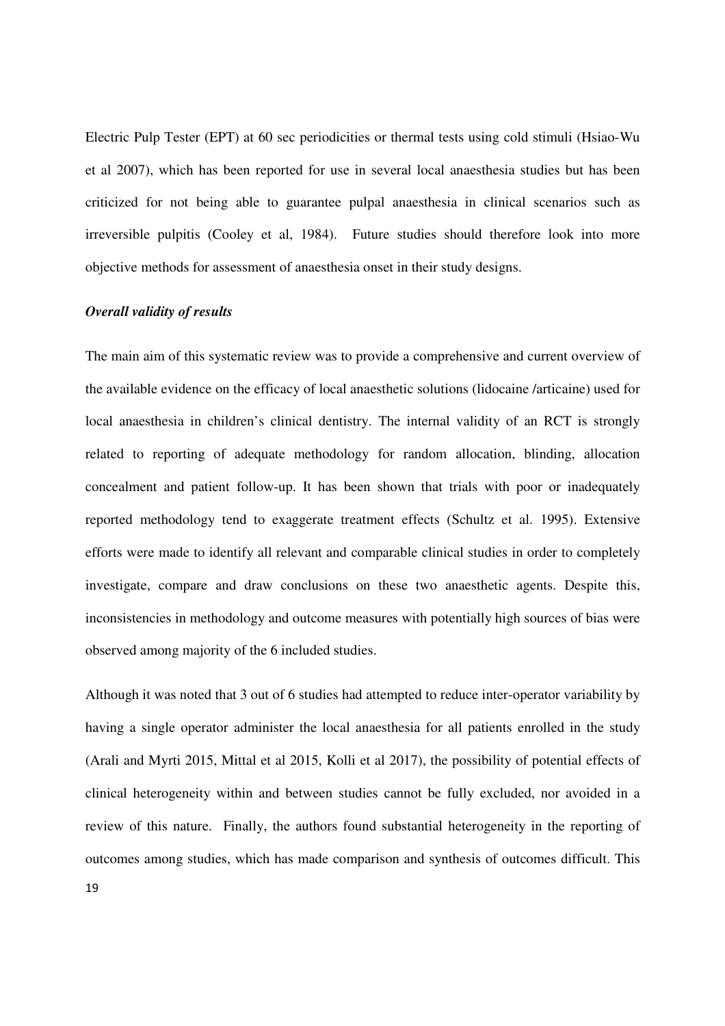Electric Pulp Tester (EPT) at 60 sec periodicities or thermal tests using cold stimuli (Hsiao-Wu et al 2007), which has been reported for use in several local anaesthesia studies but has been criticized for not being able to guarantee pulpal anaesthesia in clinical scenarios such as irreversible pulpitis (Cooley et al, 1984). Future studies should therefore look into more objective methods for assessment of anaesthesia onset in their study designs.

#### *Overall validity of results*

The main aim of this systematic review was to provide a comprehensive and current overview of the available evidence on the efficacy of local anaesthetic solutions (lidocaine /articaine) used for local anaesthesia in children's clinical dentistry. The internal validity of an RCT is strongly related to reporting of adequate methodology for random allocation, blinding, allocation concealment and patient follow-up. It has been shown that trials with poor or inadequately reported methodology tend to exaggerate treatment effects (Schultz et al. 1995). Extensive efforts were made to identify all relevant and comparable clinical studies in order to completely investigate, compare and draw conclusions on these two anaesthetic agents. Despite this, inconsistencies in methodology and outcome measures with potentially high sources of bias were observed among majority of the 6 included studies.

Although it was noted that 3 out of 6 studies had attempted to reduce inter-operator variability by having a single operator administer the local anaesthesia for all patients enrolled in the study (Arali and Myrti 2015, Mittal et al 2015, Kolli et al 2017), the possibility of potential effects of clinical heterogeneity within and between studies cannot be fully excluded, nor avoided in a review of this nature. Finally, the authors found substantial heterogeneity in the reporting of outcomes among studies, which has made comparison and synthesis of outcomes difficult. This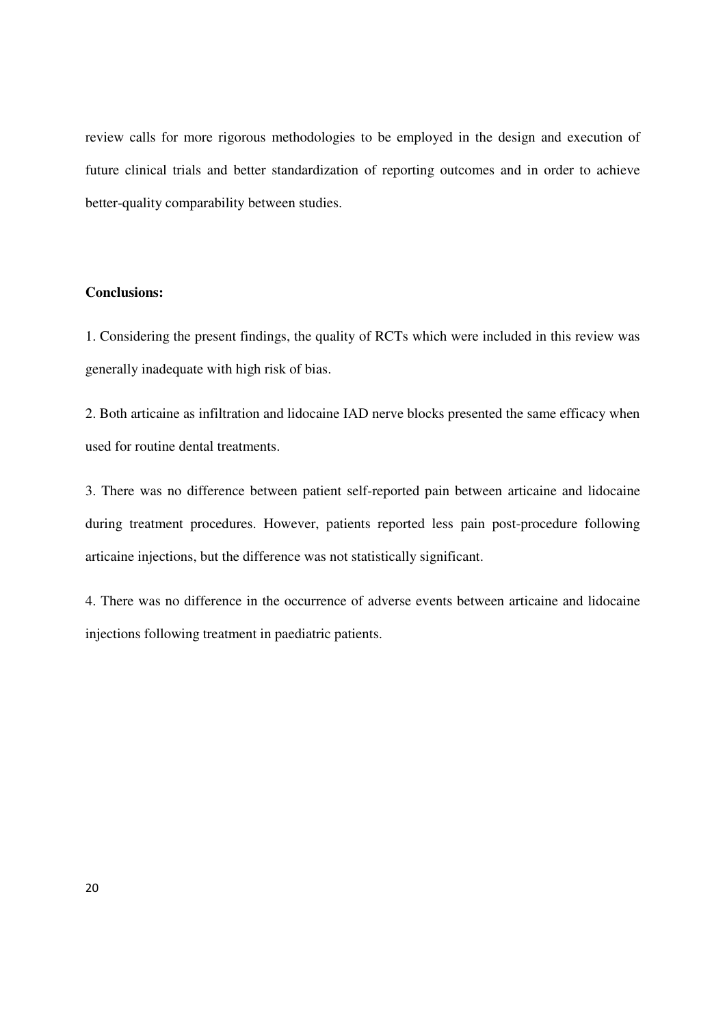review calls for more rigorous methodologies to be employed in the design and execution of future clinical trials and better standardization of reporting outcomes and in order to achieve better-quality comparability between studies.

# **Conclusions:**

1. Considering the present findings, the quality of RCTs which were included in this review was generally inadequate with high risk of bias.

2. Both articaine as infiltration and lidocaine IAD nerve blocks presented the same efficacy when used for routine dental treatments.

3. There was no difference between patient self-reported pain between articaine and lidocaine during treatment procedures. However, patients reported less pain post-procedure following articaine injections, but the difference was not statistically significant.

4. There was no difference in the occurrence of adverse events between articaine and lidocaine injections following treatment in paediatric patients.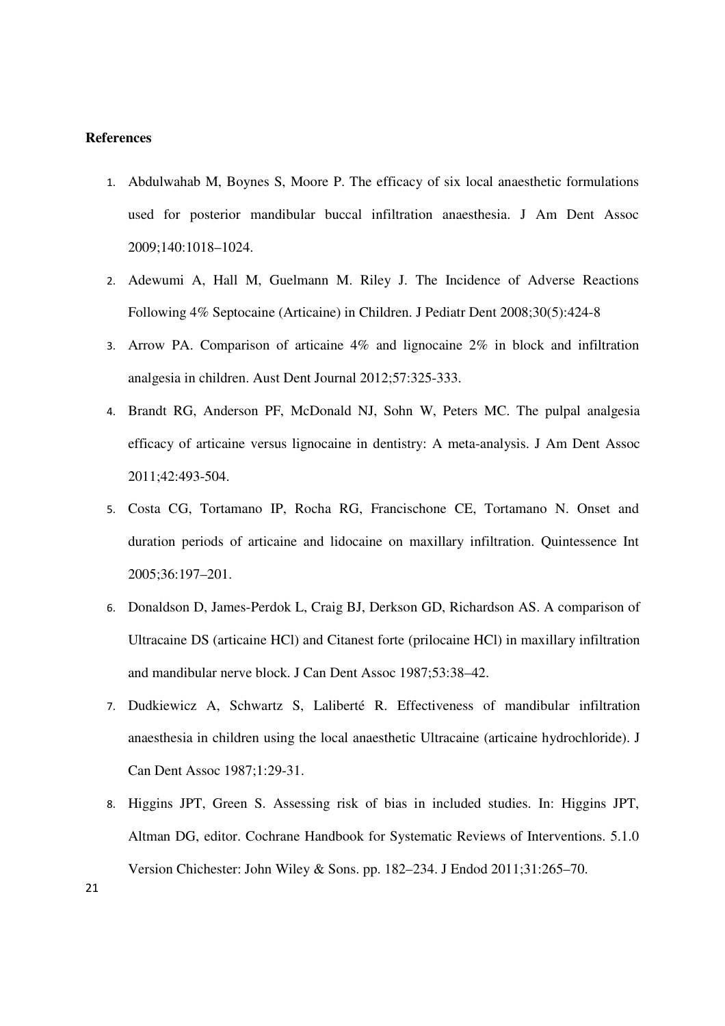## **References**

- 1. Abdulwahab M, Boynes S, Moore P. The efficacy of six local anaesthetic formulations used for posterior mandibular buccal infiltration anaesthesia. J Am Dent Assoc 2009;140:1018–1024.
- 2. Adewumi A, Hall M, Guelmann M. Riley J. The Incidence of Adverse Reactions Following 4% Septocaine (Articaine) in Children. J Pediatr Dent 2008;30(5):424-8
- 3. Arrow PA. Comparison of articaine 4% and lignocaine 2% in block and infiltration analgesia in children. Aust Dent Journal 2012;57:325-333.
- 4. Brandt RG, Anderson PF, McDonald NJ, Sohn W, Peters MC. The pulpal analgesia efficacy of articaine versus lignocaine in dentistry: A meta-analysis. J Am Dent Assoc 2011;42:493-504.
- 5. Costa CG, Tortamano IP, Rocha RG, Francischone CE, Tortamano N. Onset and duration periods of articaine and lidocaine on maxillary infiltration. Quintessence Int 2005;36:197–201.
- 6. Donaldson D, James-Perdok L, Craig BJ, Derkson GD, Richardson AS. A comparison of Ultracaine DS (articaine HCl) and Citanest forte (prilocaine HCl) in maxillary infiltration and mandibular nerve block. J Can Dent Assoc 1987;53:38–42.
- 7. Dudkiewicz A, Schwartz S, Laliberté R. Effectiveness of mandibular infiltration anaesthesia in children using the local anaesthetic Ultracaine (articaine hydrochloride). J Can Dent Assoc 1987;1:29-31.
- 8. Higgins JPT, Green S. Assessing risk of bias in included studies. In: Higgins JPT, Altman DG, editor. Cochrane Handbook for Systematic Reviews of Interventions. 5.1.0 Version Chichester: John Wiley & Sons. pp. 182–234. J Endod 2011;31:265–70.

21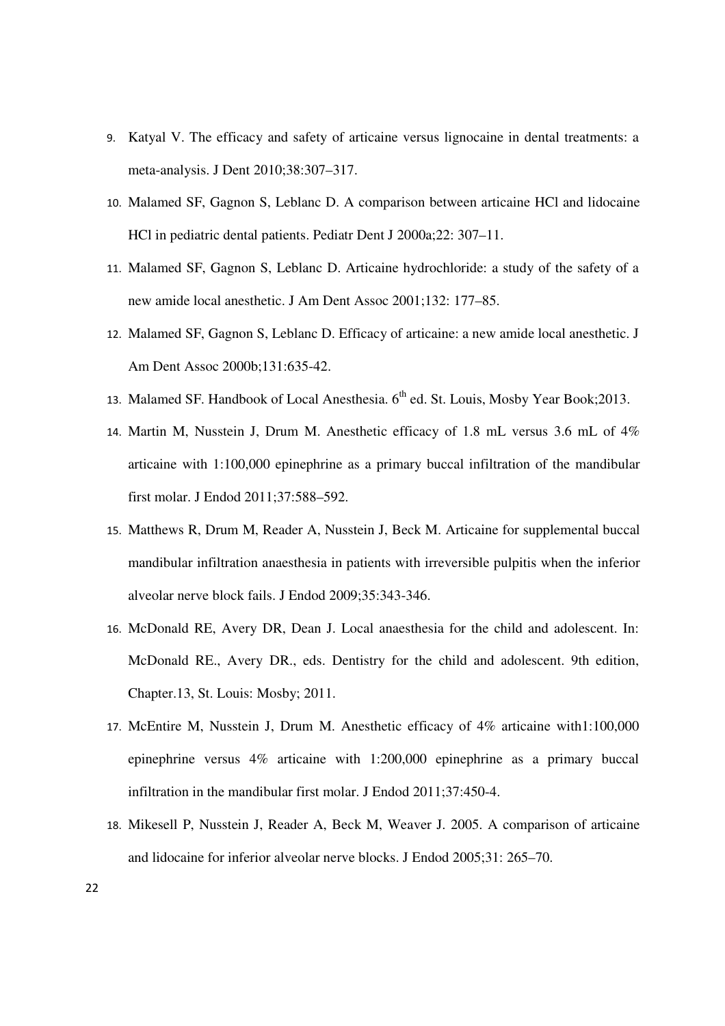- 9. Katyal V. The efficacy and safety of articaine versus lignocaine in dental treatments: a meta-analysis. J Dent 2010;38:307–317.
- 10. Malamed SF, Gagnon S, Leblanc D. A comparison between articaine HCl and lidocaine HCl in pediatric dental patients. Pediatr Dent J 2000a;22: 307–11.
- 11. Malamed SF, Gagnon S, Leblanc D. Articaine hydrochloride: a study of the safety of a new amide local anesthetic. J Am Dent Assoc 2001;132: 177–85.
- 12. Malamed SF, Gagnon S, Leblanc D. Efficacy of articaine: a new amide local anesthetic. J Am Dent Assoc 2000b;131:635-42.
- 13. Malamed SF. Handbook of Local Anesthesia. 6<sup>th</sup> ed. St. Louis, Mosby Year Book; 2013.
- 14. Martin M, Nusstein J, Drum M. Anesthetic efficacy of 1.8 mL versus 3.6 mL of 4% articaine with 1:100,000 epinephrine as a primary buccal infiltration of the mandibular first molar. J Endod 2011;37:588–592.
- 15. Matthews R, Drum M, Reader A, Nusstein J, Beck M. Articaine for supplemental buccal mandibular infiltration anaesthesia in patients with irreversible pulpitis when the inferior alveolar nerve block fails. J Endod 2009;35:343-346.
- 16. McDonald RE, Avery DR, Dean J. Local anaesthesia for the child and adolescent. In: McDonald RE., Avery DR., eds. Dentistry for the child and adolescent. 9th edition, Chapter.13, St. Louis: Mosby; 2011.
- 17. McEntire M, Nusstein J, Drum M. Anesthetic efficacy of 4% articaine with1:100,000 epinephrine versus 4% articaine with 1:200,000 epinephrine as a primary buccal infiltration in the mandibular first molar. J Endod 2011;37:450-4.
- 18. Mikesell P, Nusstein J, Reader A, Beck M, Weaver J. 2005. A comparison of articaine and lidocaine for inferior alveolar nerve blocks. J Endod 2005;31: 265–70.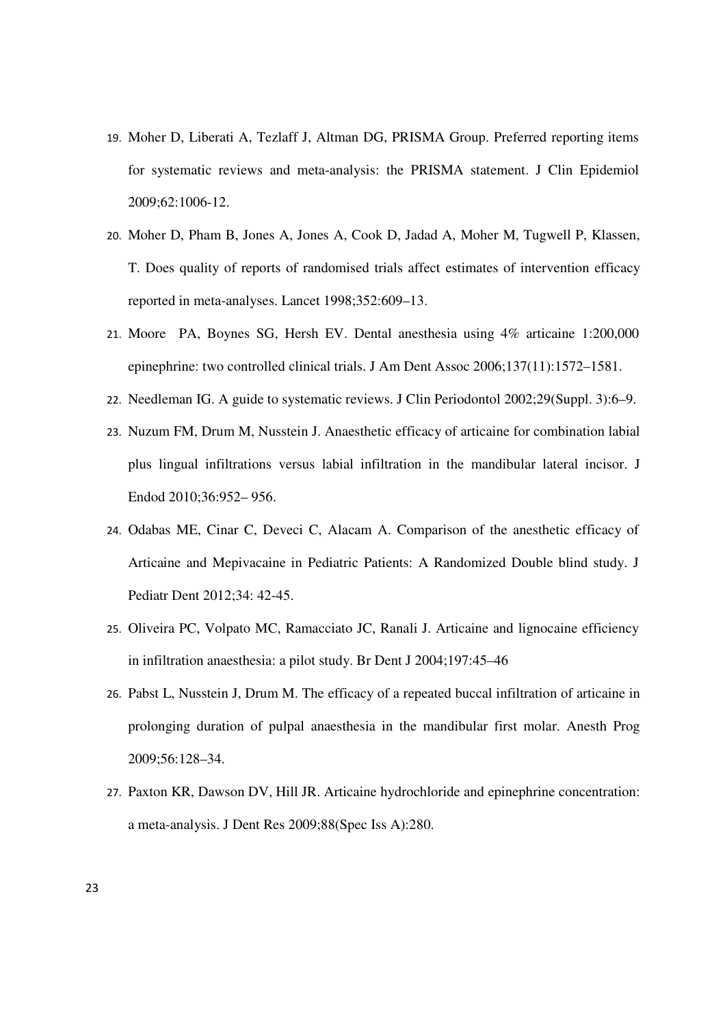- 19. Moher D, Liberati A, Tezlaff J, Altman DG, PRISMA Group. Preferred reporting items for systematic reviews and meta-analysis: the PRISMA statement. J Clin Epidemiol 2009;62:1006-12.
- 20. Moher D, Pham B, Jones A, Jones A, Cook D, Jadad A, Moher M, Tugwell P, Klassen, T. Does quality of reports of randomised trials affect estimates of intervention efficacy reported in meta-analyses. Lancet 1998;352:609–13.
- 21. Moore PA, Boynes SG, Hersh EV. Dental anesthesia using 4% articaine 1:200,000 epinephrine: two controlled clinical trials. J Am Dent Assoc 2006;137(11):1572–1581.
- 22. Needleman IG. A guide to systematic reviews. J Clin Periodontol 2002;29(Suppl. 3):6–9.
- 23. Nuzum FM, Drum M, Nusstein J. Anaesthetic efficacy of articaine for combination labial plus lingual infiltrations versus labial infiltration in the mandibular lateral incisor. J Endod 2010;36:952– 956.
- 24. Odabas ME, Cinar C, Deveci C, Alacam A. Comparison of the anesthetic efficacy of Articaine and Mepivacaine in Pediatric Patients: A Randomized Double blind study. J Pediatr Dent 2012;34: 42-45.
- 25. Oliveira PC, Volpato MC, Ramacciato JC, Ranali J. Articaine and lignocaine efficiency in infiltration anaesthesia: a pilot study. Br Dent J 2004;197:45–46
- 26. Pabst L, Nusstein J, Drum M. The efficacy of a repeated buccal infiltration of articaine in prolonging duration of pulpal anaesthesia in the mandibular first molar. Anesth Prog 2009;56:128–34.
- 27. Paxton KR, Dawson DV, Hill JR. Articaine hydrochloride and epinephrine concentration: a meta-analysis. J Dent Res 2009;88(Spec Iss A):280.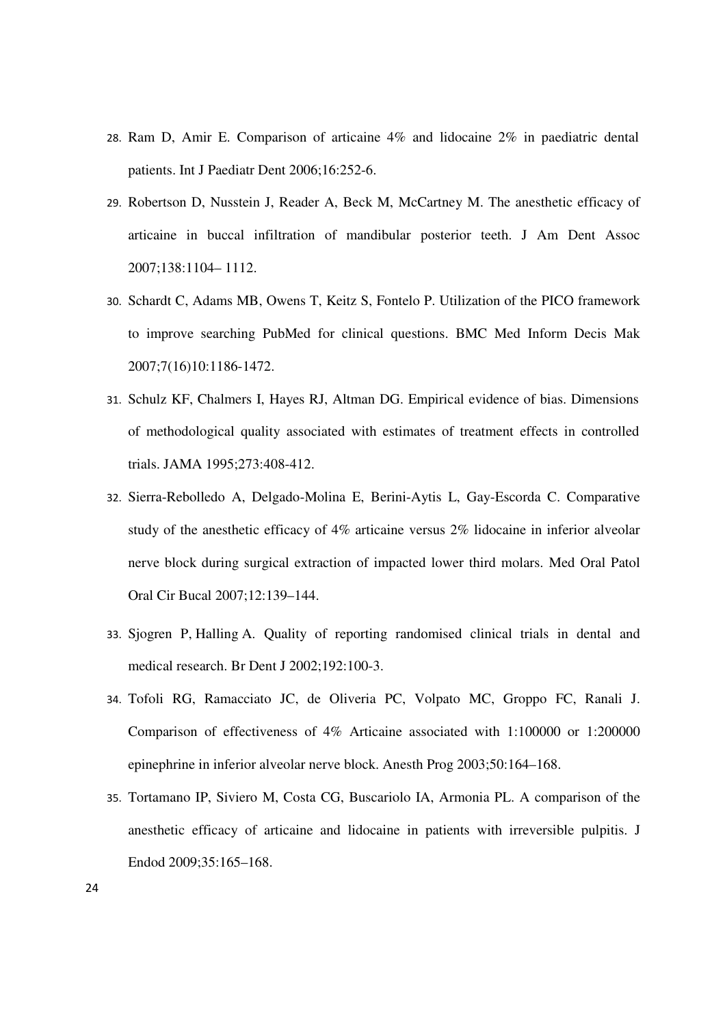- 28. Ram D, Amir E. Comparison of articaine 4% and lidocaine 2% in paediatric dental patients. Int J Paediatr Dent 2006;16:252-6.
- 29. Robertson D, Nusstein J, Reader A, Beck M, McCartney M. The anesthetic efficacy of articaine in buccal infiltration of mandibular posterior teeth. J Am Dent Assoc 2007;138:1104– 1112.
- 30. Schardt C, Adams MB, Owens T, Keitz S, Fontelo P. Utilization of the PICO framework to improve searching PubMed for clinical questions. BMC Med Inform Decis Mak 2007;7(16)10:1186-1472.
- 31. Schulz KF, Chalmers I, Hayes RJ, Altman DG. Empirical evidence of bias. Dimensions of methodological quality associated with estimates of treatment effects in controlled trials. JAMA 1995;273:408-412.
- 32. Sierra-Rebolledo A, Delgado-Molina E, Berini-Aytis L, Gay-Escorda C. Comparative study of the anesthetic efficacy of 4% articaine versus 2% lidocaine in inferior alveolar nerve block during surgical extraction of impacted lower third molars. Med Oral Patol Oral Cir Bucal 2007;12:139–144.
- 33. Sjogren P, Halling A. Quality of reporting randomised clinical trials in dental and medical research. Br Dent J 2002;192:100-3.
- 34. Tofoli RG, Ramacciato JC, de Oliveria PC, Volpato MC, Groppo FC, Ranali J. Comparison of effectiveness of 4% Articaine associated with 1:100000 or 1:200000 epinephrine in inferior alveolar nerve block. Anesth Prog 2003;50:164–168.
- 35. Tortamano IP, Siviero M, Costa CG, Buscariolo IA, Armonia PL. A comparison of the anesthetic efficacy of articaine and lidocaine in patients with irreversible pulpitis. J Endod 2009;35:165–168.